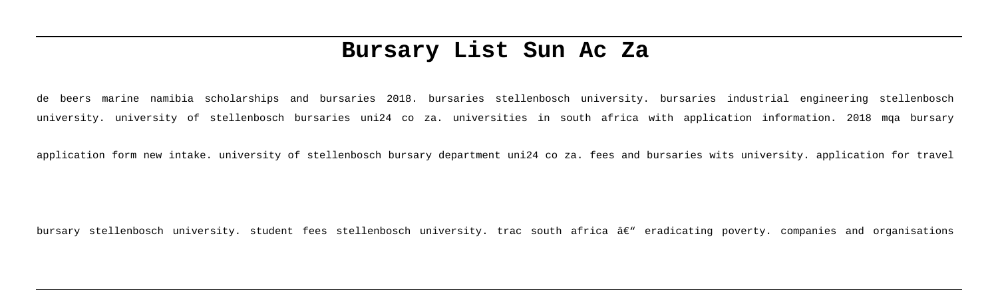# **Bursary List Sun Ac Za**

de beers marine namibia scholarships and bursaries 2018. bursaries stellenbosch university. bursaries industrial engineering stellenbosch university. university of stellenbosch bursaries uni24 co za. universities in south africa with application information. 2018 mqa bursary

application form new intake. university of stellenbosch bursary department uni24 co za. fees and bursaries wits university. application for travel

bursary stellenbosch university. student fees stellenbosch university. trac south africa â€" eradicating poverty. companies and organisations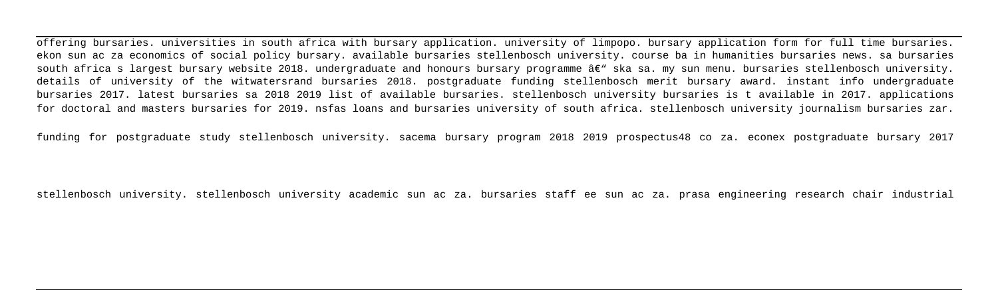offering bursaries. universities in south africa with bursary application. university of limpopo. bursary application form for full time bursaries. ekon sun ac za economics of social policy bursary. available bursaries stellenbosch university. course ba in humanities bursaries news. sa bursaries south africa s largest bursary website 2018. undergraduate and honours bursary programme â€" ska sa. my sun menu. bursaries stellenbosch university. details of university of the witwatersrand bursaries 2018. postgraduate funding stellenbosch merit bursary award. instant info undergraduate bursaries 2017. latest bursaries sa 2018 2019 list of available bursaries. stellenbosch university bursaries is t available in 2017. applications for doctoral and masters bursaries for 2019. nsfas loans and bursaries university of south africa. stellenbosch university journalism bursaries zar.

funding for postgraduate study stellenbosch university. sacema bursary program 2018 2019 prospectus48 co za. econex postgraduate bursary 2017

stellenbosch university. stellenbosch university academic sun ac za. bursaries staff ee sun ac za. prasa engineering research chair industrial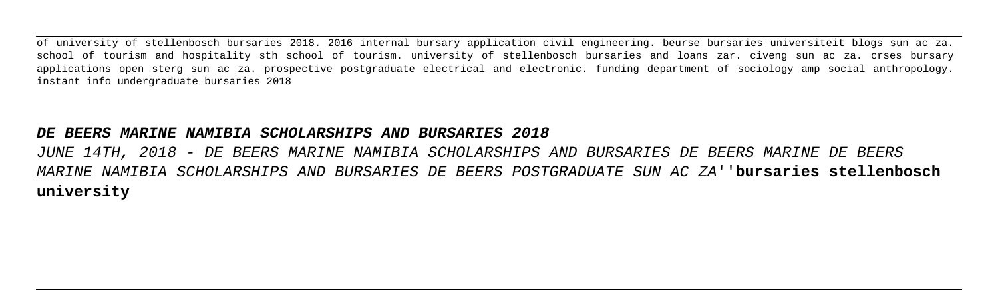of university of stellenbosch bursaries 2018. 2016 internal bursary application civil engineering. beurse bursaries universiteit blogs sun ac za. school of tourism and hospitality sth school of tourism. university of stellenbosch bursaries and loans zar. civeng sun ac za. crses bursary applications open sterg sun ac za. prospective postgraduate electrical and electronic. funding department of sociology amp social anthropology. instant info undergraduate bursaries 2018

#### **DE BEERS MARINE NAMIBIA SCHOLARSHIPS AND BURSARIES 2018**

JUNE 14TH, 2018 - DE BEERS MARINE NAMIBIA SCHOLARSHIPS AND BURSARIES DE BEERS MARINE DE BEERS MARINE NAMIBIA SCHOLARSHIPS AND BURSARIES DE BEERS POSTGRADUATE SUN AC ZA''**bursaries stellenbosch university**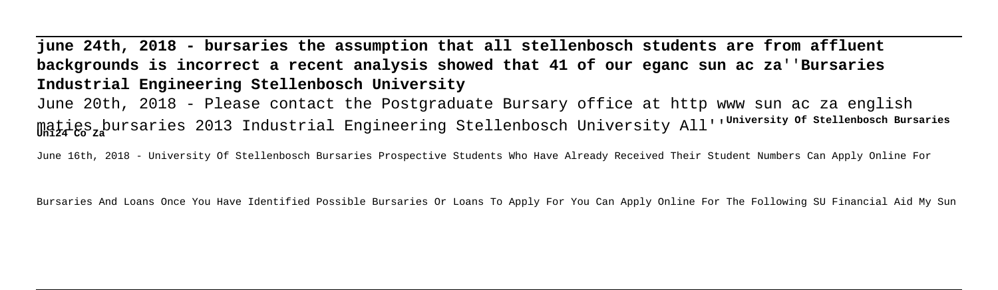**june 24th, 2018 - bursaries the assumption that all stellenbosch students are from affluent backgrounds is incorrect a recent analysis showed that 41 of our eganc sun ac za**''**Bursaries Industrial Engineering Stellenbosch University**

June 20th, 2018 - Please contact the Postgraduate Bursary office at http www sun ac za english maties bursaries 2013 Industrial Engineering Stellenbosch University All''**University Of Stellenbosch Bursaries Uni24 Co Za**

June 16th, 2018 - University Of Stellenbosch Bursaries Prospective Students Who Have Already Received Their Student Numbers Can Apply Online For

Bursaries And Loans Once You Have Identified Possible Bursaries Or Loans To Apply For You Can Apply Online For The Following SU Financial Aid My Sun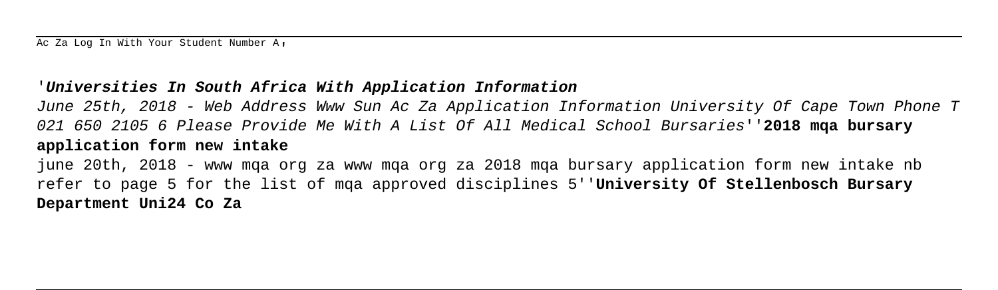Ac Za Log In With Your Student Number A.

### '**Universities In South Africa With Application Information**

June 25th, 2018 - Web Address Www Sun Ac Za Application Information University Of Cape Town Phone T 021 650 2105 6 Please Provide Me With A List Of All Medical School Bursaries''**2018 mqa bursary application form new intake**

june 20th, 2018 - www mqa org za www mqa org za 2018 mqa bursary application form new intake nb refer to page 5 for the list of mqa approved disciplines 5''**University Of Stellenbosch Bursary Department Uni24 Co Za**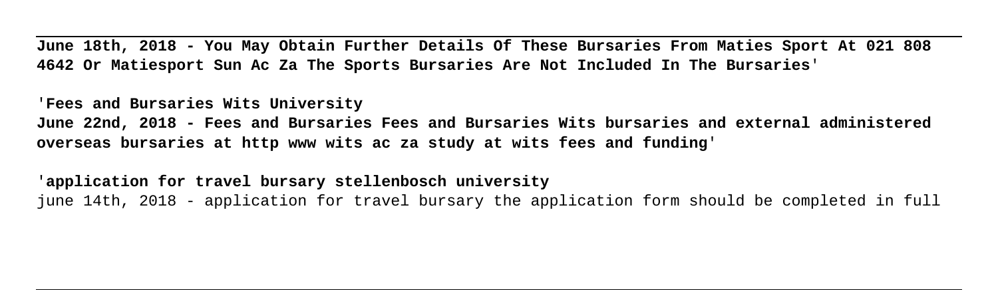**June 18th, 2018 - You May Obtain Further Details Of These Bursaries From Maties Sport At 021 808 4642 Or Matiesport Sun Ac Za The Sports Bursaries Are Not Included In The Bursaries**'

'**Fees and Bursaries Wits University**

**June 22nd, 2018 - Fees and Bursaries Fees and Bursaries Wits bursaries and external administered overseas bursaries at http www wits ac za study at wits fees and funding**'

'**application for travel bursary stellenbosch university** june 14th, 2018 - application for travel bursary the application form should be completed in full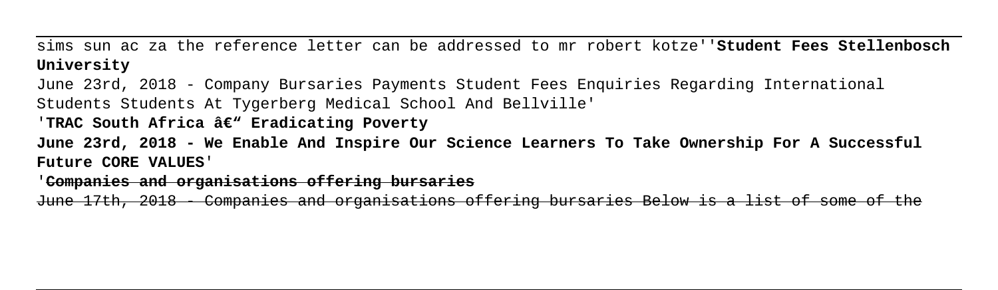sims sun ac za the reference letter can be addressed to mr robert kotze''**Student Fees Stellenbosch University**

June 23rd, 2018 - Company Bursaries Payments Student Fees Enquiries Regarding International Students Students At Tygerberg Medical School And Bellville'

'TRAC South Africa â€<sup>w</sup> Eradicating Poverty

**June 23rd, 2018 - We Enable And Inspire Our Science Learners To Take Ownership For A Successful Future CORE VALUES**'

#### '**Companies and organisations offering bursaries**

June 17th, 2018 - Companies and organisations offering bursaries Below is a list of some of the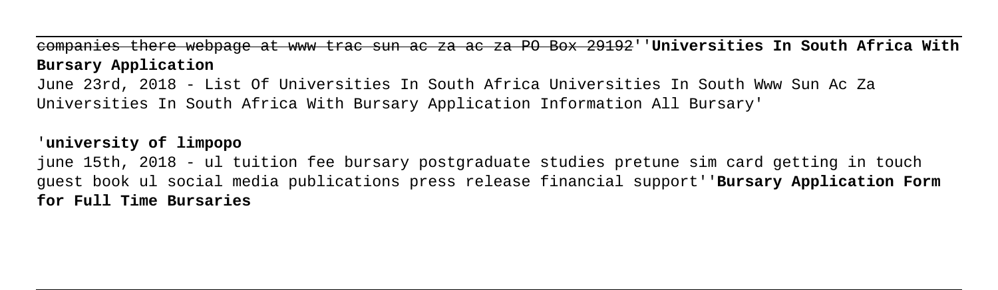companies there webpage at www trac sun ac za ac za PO Box 29192''**Universities In South Africa With Bursary Application**

June 23rd, 2018 - List Of Universities In South Africa Universities In South Www Sun Ac Za Universities In South Africa With Bursary Application Information All Bursary'

## '**university of limpopo**

june 15th, 2018 - ul tuition fee bursary postgraduate studies pretune sim card getting in touch guest book ul social media publications press release financial support''**Bursary Application Form for Full Time Bursaries**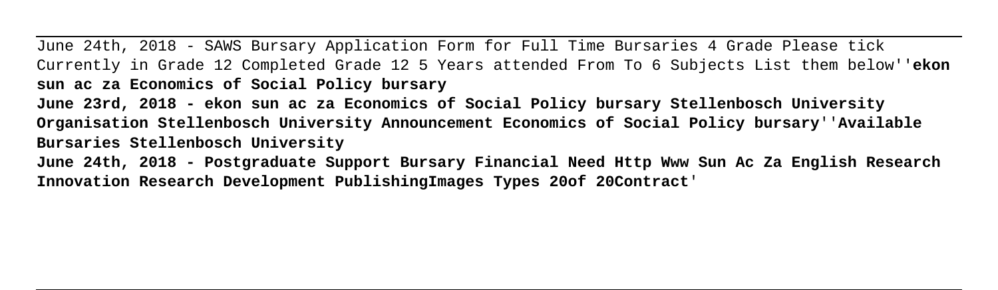June 24th, 2018 - SAWS Bursary Application Form for Full Time Bursaries 4 Grade Please tick Currently in Grade 12 Completed Grade 12 5 Years attended From To 6 Subjects List them below''**ekon sun ac za Economics of Social Policy bursary**

**June 23rd, 2018 - ekon sun ac za Economics of Social Policy bursary Stellenbosch University Organisation Stellenbosch University Announcement Economics of Social Policy bursary**''**Available Bursaries Stellenbosch University**

**June 24th, 2018 - Postgraduate Support Bursary Financial Need Http Www Sun Ac Za English Research Innovation Research Development PublishingImages Types 20of 20Contract**'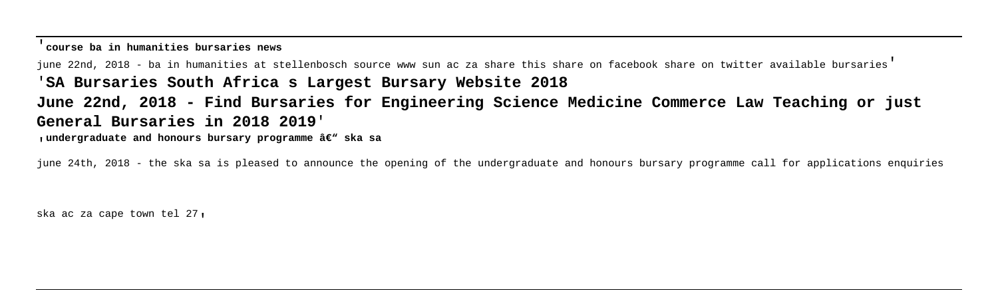#### '**course ba in humanities bursaries news**

june 22nd, 2018 - ba in humanities at stellenbosch source www sun ac za share this share on facebook share on twitter available bursaries'

# '**SA Bursaries South Africa s Largest Bursary Website 2018 June 22nd, 2018 - Find Bursaries for Engineering Science Medicine Commerce Law Teaching or just General Bursaries in 2018 2019**' **Undergraduate and honours bursary programme ' ska sa**

june 24th, 2018 - the ska sa is pleased to announce the opening of the undergraduate and honours bursary programme call for applications enquiries

ska ac za cape town tel 27.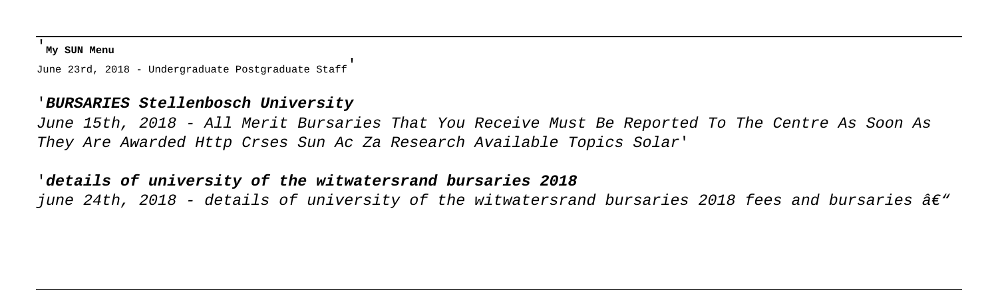'**My SUN Menu**

June 23rd, 2018 - Undergraduate Postgraduate Staff'

### '**BURSARIES Stellenbosch University**

June 15th, 2018 - All Merit Bursaries That You Receive Must Be Reported To The Centre As Soon As They Are Awarded Http Crses Sun Ac Za Research Available Topics Solar'

### '**details of university of the witwatersrand bursaries 2018**

june 24th, 2018 - details of university of the witwatersrand bursaries 2018 fees and bursaries  $\hat{a}\epsilon$ "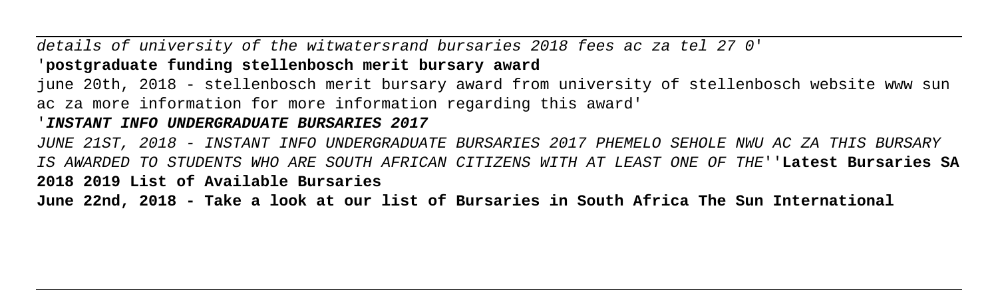## details of university of the witwatersrand bursaries 2018 fees ac za tel 27 0' '**postgraduate funding stellenbosch merit bursary award**

june 20th, 2018 - stellenbosch merit bursary award from university of stellenbosch website www sun ac za more information for more information regarding this award'

#### '**INSTANT INFO UNDERGRADUATE BURSARIES 2017**

JUNE 21ST, 2018 - INSTANT INFO UNDERGRADUATE BURSARIES 2017 PHEMELO SEHOLE NWU AC ZA THIS BURSARY IS AWARDED TO STUDENTS WHO ARE SOUTH AFRICAN CITIZENS WITH AT LEAST ONE OF THE''**Latest Bursaries SA 2018 2019 List of Available Bursaries**

**June 22nd, 2018 - Take a look at our list of Bursaries in South Africa The Sun International**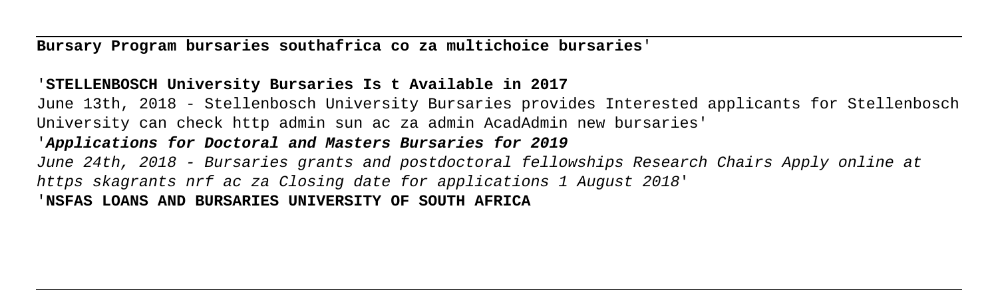#### **Bursary Program bursaries southafrica co za multichoice bursaries**'

#### '**STELLENBOSCH University Bursaries Is t Available in 2017**

June 13th, 2018 - Stellenbosch University Bursaries provides Interested applicants for Stellenbosch University can check http admin sun ac za admin AcadAdmin new bursaries'

## '**Applications for Doctoral and Masters Bursaries for 2019**

June 24th, 2018 - Bursaries grants and postdoctoral fellowships Research Chairs Apply online at https skagrants nrf ac za Closing date for applications 1 August 2018' '**NSFAS LOANS AND BURSARIES UNIVERSITY OF SOUTH AFRICA**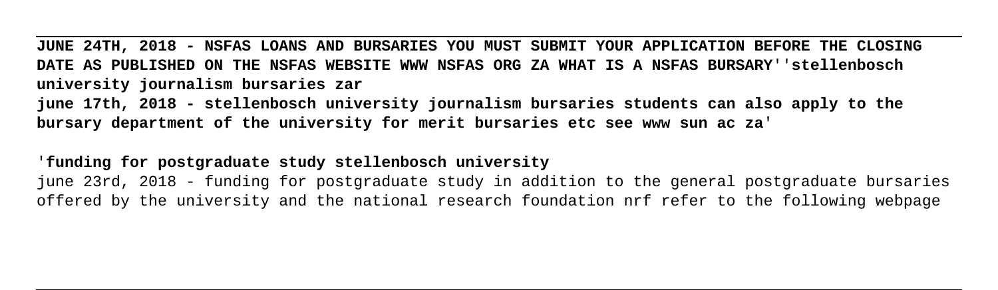**JUNE 24TH, 2018 - NSFAS LOANS AND BURSARIES YOU MUST SUBMIT YOUR APPLICATION BEFORE THE CLOSING DATE AS PUBLISHED ON THE NSFAS WEBSITE WWW NSFAS ORG ZA WHAT IS A NSFAS BURSARY**''**stellenbosch university journalism bursaries zar**

**june 17th, 2018 - stellenbosch university journalism bursaries students can also apply to the bursary department of the university for merit bursaries etc see www sun ac za**'

#### '**funding for postgraduate study stellenbosch university**

june 23rd, 2018 - funding for postgraduate study in addition to the general postgraduate bursaries offered by the university and the national research foundation nrf refer to the following webpage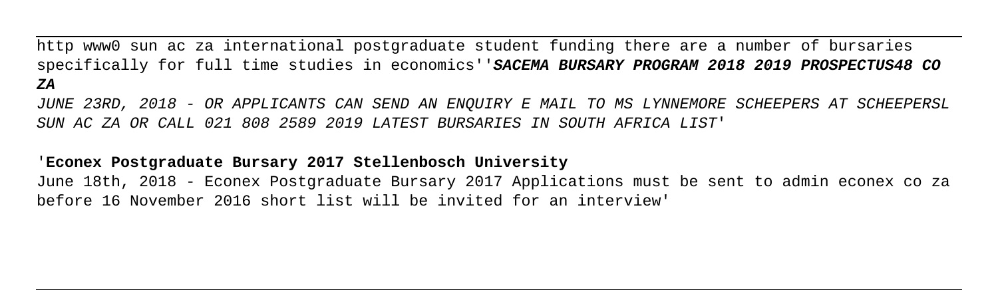http www0 sun ac za international postgraduate student funding there are a number of bursaries specifically for full time studies in economics''**SACEMA BURSARY PROGRAM 2018 2019 PROSPECTUS48 CO ZA**

JUNE 23RD, 2018 - OR APPLICANTS CAN SEND AN ENQUIRY E MAIL TO MS LYNNEMORE SCHEEPERS AT SCHEEPERSL SUN AC ZA OR CALL 021 808 2589 2019 LATEST BURSARIES IN SOUTH AFRICA LIST'

#### '**Econex Postgraduate Bursary 2017 Stellenbosch University**

June 18th, 2018 - Econex Postgraduate Bursary 2017 Applications must be sent to admin econex co za before 16 November 2016 short list will be invited for an interview'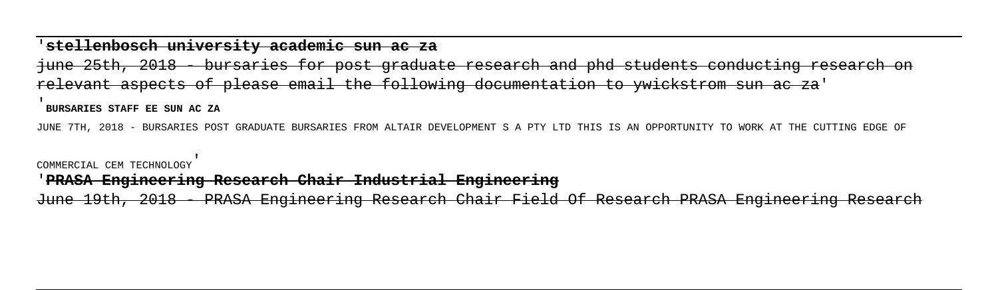# '**stellenbosch university academic sun ac za** june 25th, 2018 - bursaries for post graduate research and phd students conducting research levant aspects of please email the following documentation to ywickstrom sun ac  $z\alpha$

'**BURSARIES STAFF EE SUN AC ZA**

JUNE 7TH, 2018 - BURSARIES POST GRADUATE BURSARIES FROM ALTAIR DEVELOPMENT S A PTY LTD THIS IS AN OPPORTUNITY TO WORK AT THE CUTTING EDGE OF

COMMERCIAL CEM TECHNOLOGY'

#### '**PRASA Engineering Research Chair Industrial Engineering**

June 19th, 2018 - PRASA Engineering Research Chair Field Of Research PRASA Engineering Research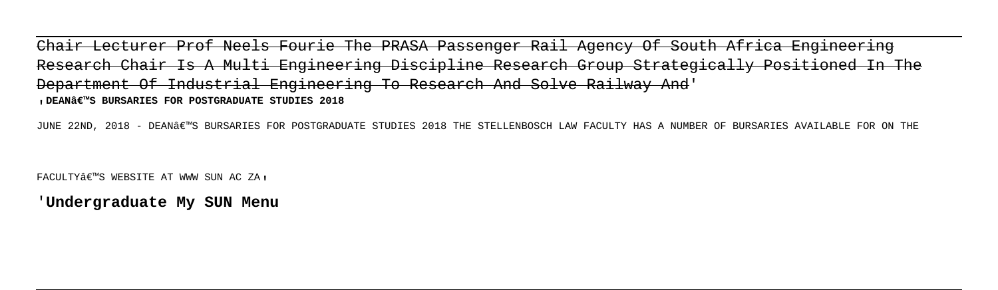Chair Lecturer Prof Neels Fourie The PRASA Passenger Rail Agency Of South Africa Engineering Research Chair Is A Multi Engineering Discipline Research Group Strategically Positioned In Department Of Industrial Engineering To Research And Solve Railway And' **, DEAN'S BURSARIES FOR POSTGRADUATE STUDIES 2018** 

JUNE 22ND, 2018 - DEANÂE S BURSARIES FOR POSTGRADUATE STUDIES 2018 THE STELLENBOSCH LAW FACULTY HAS A NUMBER OF BURSARIES AVAILABLE FOR ON THE

FACULTY $\hat{a} \in \mathbb{M}$ S WEBSITE AT WWW SUN AC ZA,

'**Undergraduate My SUN Menu**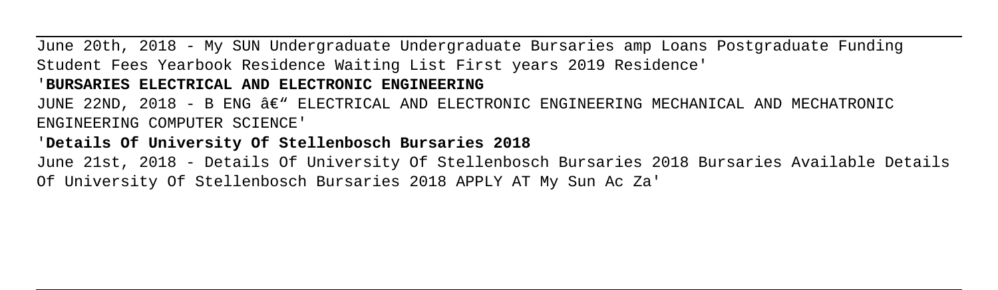June 20th, 2018 - My SUN Undergraduate Undergraduate Bursaries amp Loans Postgraduate Funding Student Fees Yearbook Residence Waiting List First years 2019 Residence'

### '**BURSARIES ELECTRICAL AND ELECTRONIC ENGINEERING**

JUNE 22ND, 2018 - B ENG  $A\in$ " ELECTRICAL AND ELECTRONIC ENGINEERING MECHANICAL AND MECHATRONIC ENGINEERING COMPUTER SCIENCE'

## '**Details Of University Of Stellenbosch Bursaries 2018**

June 21st, 2018 - Details Of University Of Stellenbosch Bursaries 2018 Bursaries Available Details Of University Of Stellenbosch Bursaries 2018 APPLY AT My Sun Ac Za'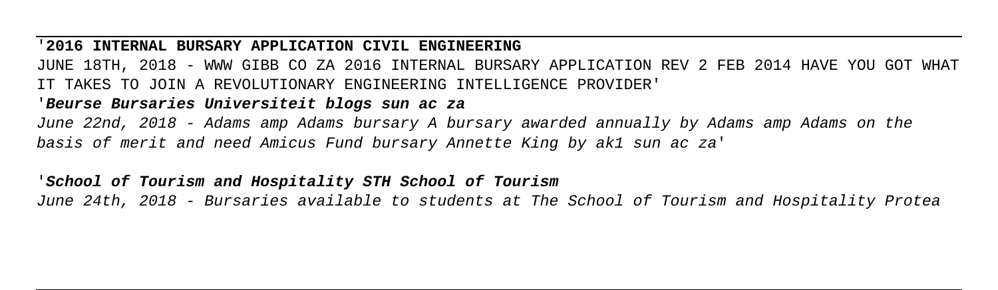#### '**2016 INTERNAL BURSARY APPLICATION CIVIL ENGINEERING**

JUNE 18TH, 2018 - WWW GIBB CO ZA 2016 INTERNAL BURSARY APPLICATION REV 2 FEB 2014 HAVE YOU GOT WHAT IT TAKES TO JOIN A REVOLUTIONARY ENGINEERING INTELLIGENCE PROVIDER'

### '**Beurse Bursaries Universiteit blogs sun ac za**

June 22nd, 2018 - Adams amp Adams bursary A bursary awarded annually by Adams amp Adams on the basis of merit and need Amicus Fund bursary Annette King by ak1 sun ac za'

#### '**School of Tourism and Hospitality STH School of Tourism**

June 24th, 2018 - Bursaries available to students at The School of Tourism and Hospitality Protea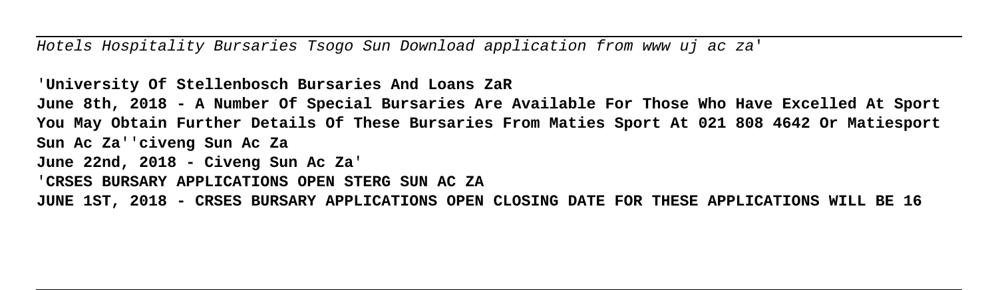Hotels Hospitality Bursaries Tsogo Sun Download application from www uj ac za'

'**University Of Stellenbosch Bursaries And Loans ZaR June 8th, 2018 - A Number Of Special Bursaries Are Available For Those Who Have Excelled At Sport You May Obtain Further Details Of These Bursaries From Maties Sport At 021 808 4642 Or Matiesport Sun Ac Za**''**civeng Sun Ac Za June 22nd, 2018 - Civeng Sun Ac Za**' '**CRSES BURSARY APPLICATIONS OPEN STERG SUN AC ZA JUNE 1ST, 2018 - CRSES BURSARY APPLICATIONS OPEN CLOSING DATE FOR THESE APPLICATIONS WILL BE 16**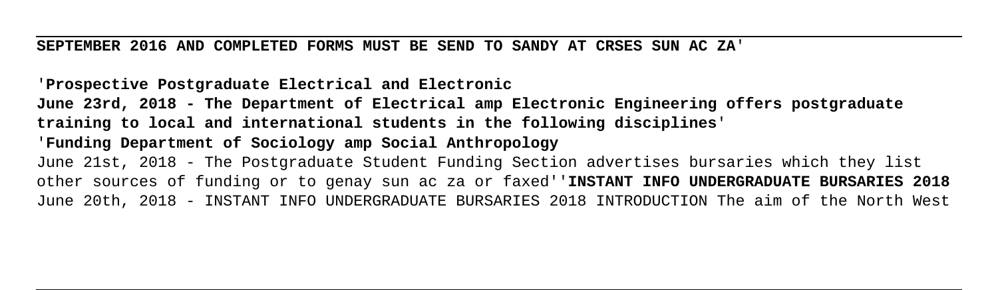**SEPTEMBER 2016 AND COMPLETED FORMS MUST BE SEND TO SANDY AT CRSES SUN AC ZA**'

'**Prospective Postgraduate Electrical and Electronic**

**June 23rd, 2018 - The Department of Electrical amp Electronic Engineering offers postgraduate training to local and international students in the following disciplines**' '**Funding Department of Sociology amp Social Anthropology** June 21st, 2018 - The Postgraduate Student Funding Section advertises bursaries which they list other sources of funding or to genay sun ac za or faxed''**INSTANT INFO UNDERGRADUATE BURSARIES 2018** June 20th, 2018 - INSTANT INFO UNDERGRADUATE BURSARIES 2018 INTRODUCTION The aim of the North West